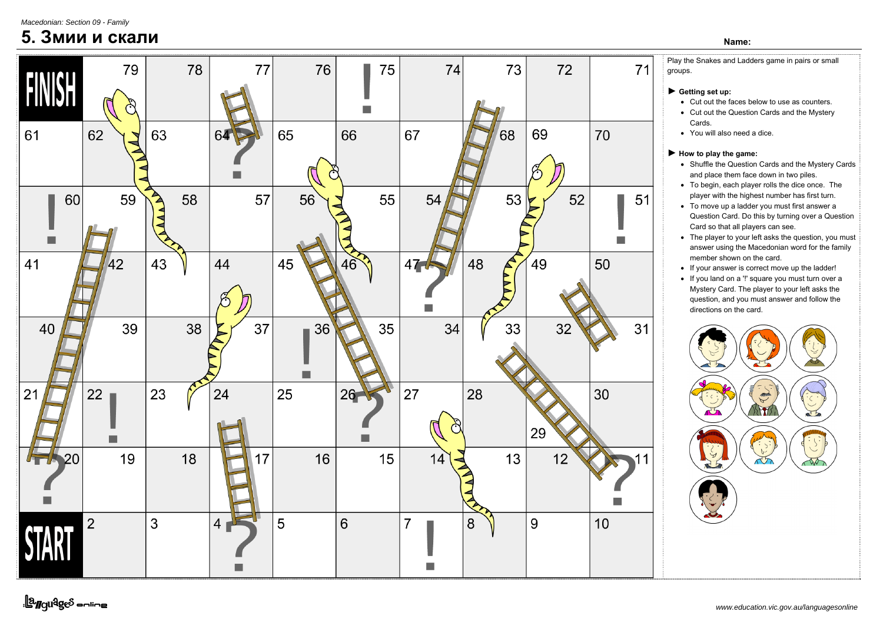*Macedonian: Section 09 - Family*

## **5. Змии и скали Name:**



<u>||a</u>nguages <del>online</del>

Play the Snakes and Ladders game in pairs or small groups.

- ► **Getting set up:** 
	- Cut out the faces below to use as counters.
	- Cut out the Question Cards and the Mystery Cards.
	- You will also need a dice.

## ► **How to play the game:**

- Shuffle the Question Cards and the Mystery Cards and place them face down in two piles.
- To begin, each player rolls the dice once. The player with the highest number has first turn.
- To move up a ladder you must first answer a Question Card. Do this by turning over a Question Card so that all players can see.
- The player to your left asks the question, you must answer using the Macedonian word for the family member shown on the card.
- If your answer is correct move up the ladder!
- If you land on a '!' square you must turn over a Mystery Card. The player to your left asks the question, and you must answer and follow the directions on the card.